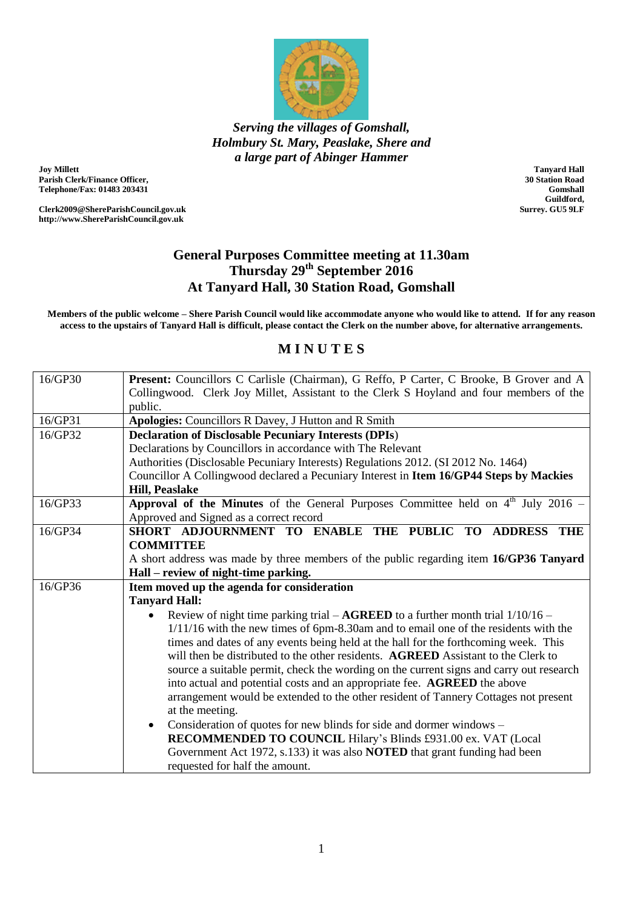

*Serving the villages of Gomshall, Holmbury St. Mary, Peaslake, Shere and a large part of Abinger Hammer*

**Joy Millett Parish Clerk/Finance Officer, Telephone/Fax: 01483 203431**

**Clerk2009@ShereParishCouncil.gov.uk http://www.ShereParishCouncil.gov.uk**

**Tanyard Hall 30 Station Road Gomshall Guildford, Surrey. GU5 9LF**

## **General Purposes Committee meeting at 11.30am Thursday 29th September 2016 At Tanyard Hall, 30 Station Road, Gomshall**

**Members of the public welcome – Shere Parish Council would like accommodate anyone who would like to attend. If for any reason access to the upstairs of Tanyard Hall is difficult, please contact the Clerk on the number above, for alternative arrangements.**

## **M I N U T E S**

| 16/GP30 | Present: Councillors C Carlisle (Chairman), G Reffo, P Carter, C Brooke, B Grover and A    |
|---------|--------------------------------------------------------------------------------------------|
|         | Collingwood. Clerk Joy Millet, Assistant to the Clerk S Hoyland and four members of the    |
|         | public.                                                                                    |
| 16/GP31 | Apologies: Councillors R Davey, J Hutton and R Smith                                       |
| 16/GP32 | <b>Declaration of Disclosable Pecuniary Interests (DPIs)</b>                               |
|         | Declarations by Councillors in accordance with The Relevant                                |
|         | Authorities (Disclosable Pecuniary Interests) Regulations 2012. (SI 2012 No. 1464)         |
|         | Councillor A Collingwood declared a Pecuniary Interest in Item 16/GP44 Steps by Mackies    |
|         | <b>Hill, Peaslake</b>                                                                      |
| 16/GP33 | <b>Approval of the Minutes</b> of the General Purposes Committee held on $4th$ July 2016 – |
|         | Approved and Signed as a correct record                                                    |
| 16/GP34 | SHORT ADJOURNMENT TO ENABLE THE PUBLIC TO ADDRESS THE                                      |
|         | <b>COMMITTEE</b>                                                                           |
|         | A short address was made by three members of the public regarding item 16/GP36 Tanyard     |
|         | Hall – review of night-time parking.                                                       |
| 16/GP36 | Item moved up the agenda for consideration                                                 |
|         | <b>Tanyard Hall:</b>                                                                       |
|         | Review of night time parking trial $-$ AGREED to a further month trial $1/10/16 -$         |
|         | $1/11/16$ with the new times of 6pm-8.30am and to email one of the residents with the      |
|         | times and dates of any events being held at the hall for the forthcoming week. This        |
|         | will then be distributed to the other residents. AGREED Assistant to the Clerk to          |
|         | source a suitable permit, check the wording on the current signs and carry out research    |
|         | into actual and potential costs and an appropriate fee. AGREED the above                   |
|         | arrangement would be extended to the other resident of Tannery Cottages not present        |
|         | at the meeting.                                                                            |
|         | Consideration of quotes for new blinds for side and dormer windows –<br>$\bullet$          |
|         | RECOMMENDED TO COUNCIL Hilary's Blinds £931.00 ex. VAT (Local                              |
|         | Government Act 1972, s.133) it was also <b>NOTED</b> that grant funding had been           |
|         | requested for half the amount.                                                             |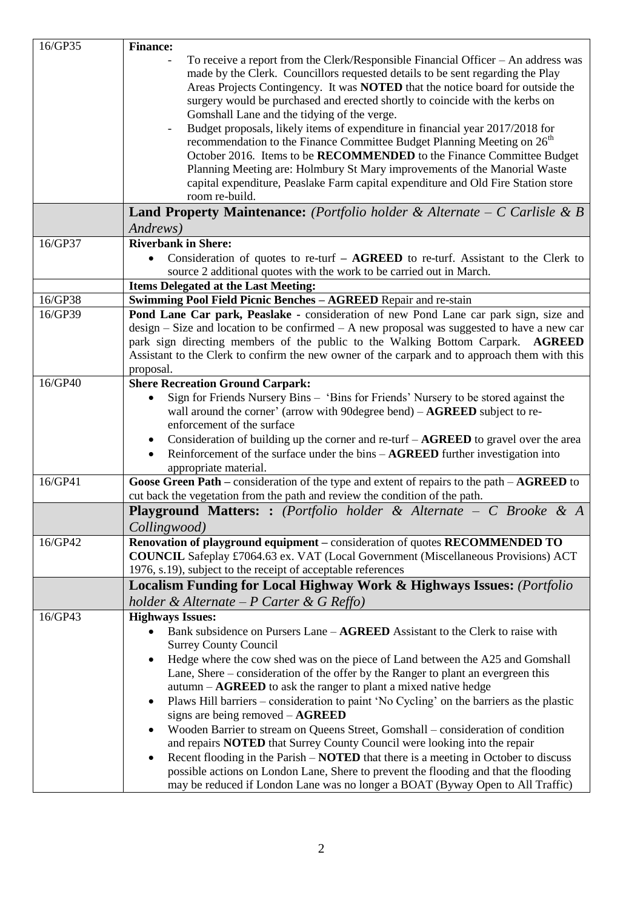| 16/GP35 | <b>Finance:</b>                                                                                                                                                                                                                                                                                                                                                                                                                                                                                                                                                                                                                                                                                                                                                                                           |
|---------|-----------------------------------------------------------------------------------------------------------------------------------------------------------------------------------------------------------------------------------------------------------------------------------------------------------------------------------------------------------------------------------------------------------------------------------------------------------------------------------------------------------------------------------------------------------------------------------------------------------------------------------------------------------------------------------------------------------------------------------------------------------------------------------------------------------|
|         | To receive a report from the Clerk/Responsible Financial Officer $-$ An address was<br>made by the Clerk. Councillors requested details to be sent regarding the Play<br>Areas Projects Contingency. It was NOTED that the notice board for outside the<br>surgery would be purchased and erected shortly to coincide with the kerbs on<br>Gomshall Lane and the tidying of the verge.<br>Budget proposals, likely items of expenditure in financial year 2017/2018 for<br>recommendation to the Finance Committee Budget Planning Meeting on 26 <sup>th</sup><br>October 2016. Items to be RECOMMENDED to the Finance Committee Budget<br>Planning Meeting are: Holmbury St Mary improvements of the Manorial Waste<br>capital expenditure, Peaslake Farm capital expenditure and Old Fire Station store |
|         | room re-build.                                                                                                                                                                                                                                                                                                                                                                                                                                                                                                                                                                                                                                                                                                                                                                                            |
|         | <b>Land Property Maintenance:</b> (Portfolio holder & Alternate $-C$ Carlisle & B<br>Andrews)                                                                                                                                                                                                                                                                                                                                                                                                                                                                                                                                                                                                                                                                                                             |
| 16/GP37 | <b>Riverbank in Shere:</b><br>Consideration of quotes to re-turf $-$ AGREED to re-turf. Assistant to the Clerk to<br>source 2 additional quotes with the work to be carried out in March.                                                                                                                                                                                                                                                                                                                                                                                                                                                                                                                                                                                                                 |
|         | <b>Items Delegated at the Last Meeting:</b>                                                                                                                                                                                                                                                                                                                                                                                                                                                                                                                                                                                                                                                                                                                                                               |
| 16/GP38 | Swimming Pool Field Picnic Benches - AGREED Repair and re-stain                                                                                                                                                                                                                                                                                                                                                                                                                                                                                                                                                                                                                                                                                                                                           |
| 16/GP39 | Pond Lane Car park, Peaslake - consideration of new Pond Lane car park sign, size and<br>$design - Size$ and location to be confirmed $-A$ new proposal was suggested to have a new car<br>park sign directing members of the public to the Walking Bottom Carpark. AGREED<br>Assistant to the Clerk to confirm the new owner of the carpark and to approach them with this<br>proposal.                                                                                                                                                                                                                                                                                                                                                                                                                  |
| 16/GP40 | <b>Shere Recreation Ground Carpark:</b><br>Sign for Friends Nursery Bins - 'Bins for Friends' Nursery to be stored against the                                                                                                                                                                                                                                                                                                                                                                                                                                                                                                                                                                                                                                                                            |
|         | wall around the corner' (arrow with 90 degree bend) $-$ AGREED subject to re-<br>enforcement of the surface<br>Consideration of building up the corner and re-turf $-AGREED$ to gravel over the area<br>$\bullet$<br>Reinforcement of the surface under the bins - AGREED further investigation into<br>$\bullet$<br>appropriate material.                                                                                                                                                                                                                                                                                                                                                                                                                                                                |
| 16/GP41 | Goose Green Path – consideration of the type and extent of repairs to the path – $AGREED$ to<br>cut back the vegetation from the path and review the condition of the path.                                                                                                                                                                                                                                                                                                                                                                                                                                                                                                                                                                                                                               |
|         | <b>Playground Matters:</b> : (Portfolio holder & Alternate $-$ C Brooke & A<br>Collingwood)                                                                                                                                                                                                                                                                                                                                                                                                                                                                                                                                                                                                                                                                                                               |
| 16/GP42 | Renovation of playground equipment – consideration of quotes RECOMMENDED TO<br><b>COUNCIL</b> Safeplay £7064.63 ex. VAT (Local Government (Miscellaneous Provisions) ACT<br>1976, s.19), subject to the receipt of acceptable references                                                                                                                                                                                                                                                                                                                                                                                                                                                                                                                                                                  |
|         | <b>Localism Funding for Local Highway Work &amp; Highways Issues:</b> (Portfolio                                                                                                                                                                                                                                                                                                                                                                                                                                                                                                                                                                                                                                                                                                                          |
|         | holder & Alternate - P Carter & G Reffo)                                                                                                                                                                                                                                                                                                                                                                                                                                                                                                                                                                                                                                                                                                                                                                  |
| 16/GP43 | <b>Highways Issues:</b><br>Bank subsidence on Pursers Lane – AGREED Assistant to the Clerk to raise with<br><b>Surrey County Council</b><br>Hedge where the cow shed was on the piece of Land between the A25 and Gomshall                                                                                                                                                                                                                                                                                                                                                                                                                                                                                                                                                                                |
|         | Lane, Shere – consideration of the offer by the Ranger to plant an evergreen this<br>$autumn - AGREED$ to ask the ranger to plant a mixed native hedge<br>Plaws Hill barriers – consideration to paint 'No Cycling' on the barriers as the plastic<br>signs are being removed $-{\bf AGREED}$                                                                                                                                                                                                                                                                                                                                                                                                                                                                                                             |
|         | Wooden Barrier to stream on Queens Street, Gomshall – consideration of condition<br>and repairs <b>NOTED</b> that Surrey County Council were looking into the repair                                                                                                                                                                                                                                                                                                                                                                                                                                                                                                                                                                                                                                      |
|         | Recent flooding in the Parish – <b>NOTED</b> that there is a meeting in October to discuss<br>٠<br>possible actions on London Lane, Shere to prevent the flooding and that the flooding<br>may be reduced if London Lane was no longer a BOAT (Byway Open to All Traffic)                                                                                                                                                                                                                                                                                                                                                                                                                                                                                                                                 |